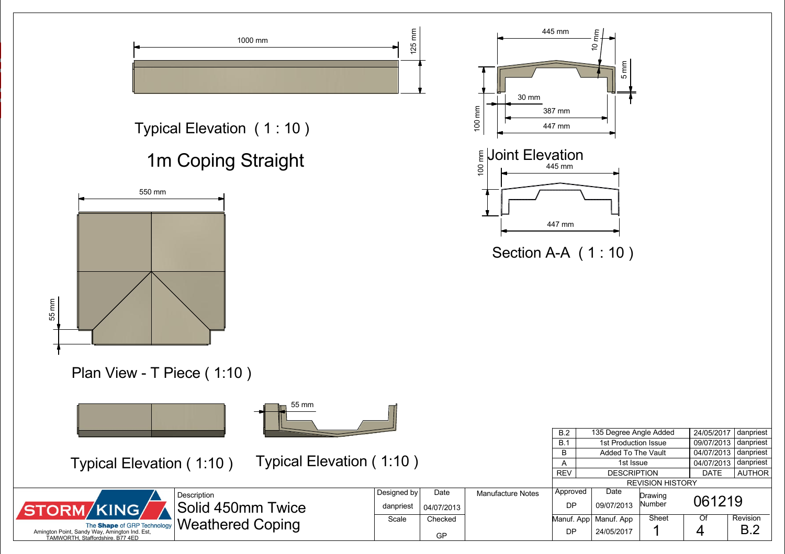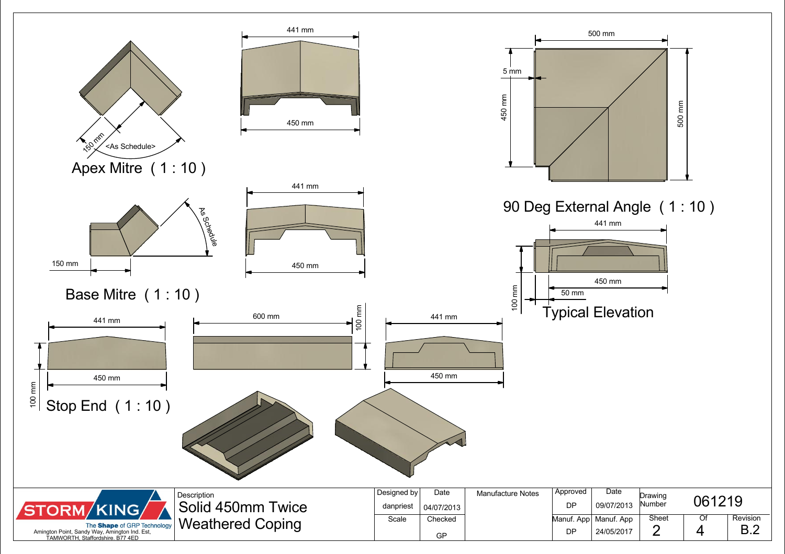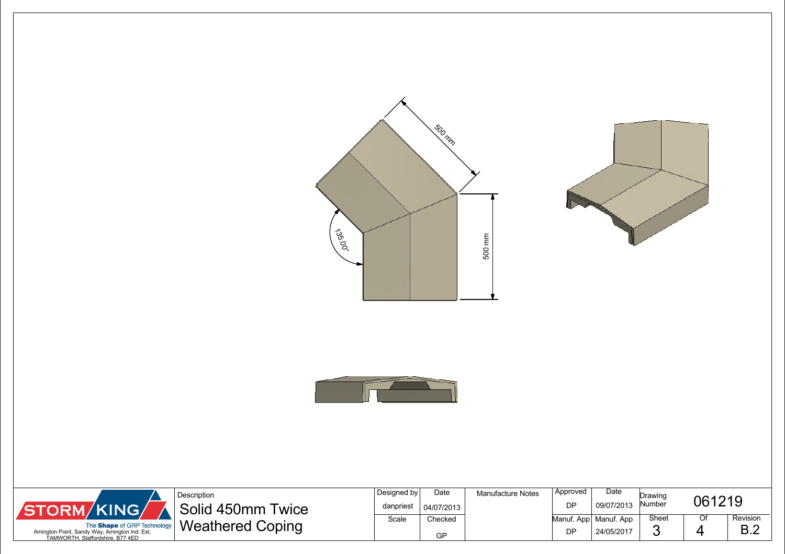





|                                                                                                                                                    | Description       | Designed by | Date       | <b>Manufacture Notes</b> | Approved   | Date                  | Drawing       |            |          |  |
|----------------------------------------------------------------------------------------------------------------------------------------------------|-------------------|-------------|------------|--------------------------|------------|-----------------------|---------------|------------|----------|--|
| STORM/KING/                                                                                                                                        | Solid 450mm Twice | danpriest   | 04/07/2013 |                          | םח<br>◡    | 09/07/2013            | <b>Number</b> |            | 061219   |  |
|                                                                                                                                                    |                   | Scale       | Checked    |                          |            | Manuf. App Manuf. App | Sheet         | Of         | Revision |  |
| <b>Weathered Coping</b><br>The <b>Shape</b> of GRP Technology<br>Amington Point, Sandy Way, Amington Ind. Est,<br>TAMWORTH, Staffordshire. B77 4ED |                   | GP          |            | DP                       | 24/05/2017 |                       |               | פ ם<br>D.Z |          |  |